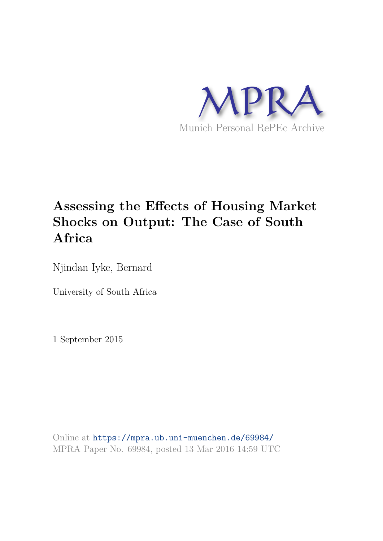

# **Assessing the Effects of Housing Market Shocks on Output: The Case of South Africa**

Njindan Iyke, Bernard

University of South Africa

1 September 2015

Online at https://mpra.ub.uni-muenchen.de/69984/ MPRA Paper No. 69984, posted 13 Mar 2016 14:59 UTC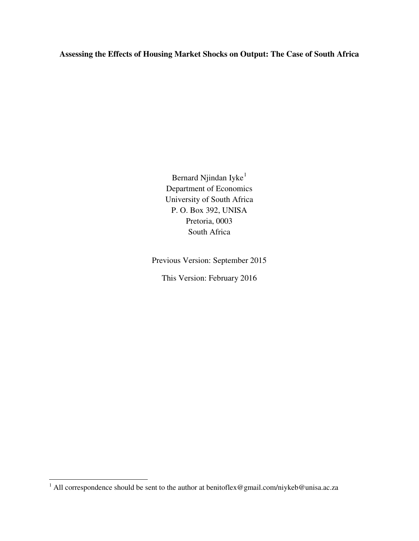**Assessing the Effects of Housing Market Shocks on Output: The Case of South Africa**

Bernard Njindan Iyke<sup>[1](#page-1-0)</sup> Department of Economics University of South Africa P. O. Box 392, UNISA Pretoria, 0003 South Africa

Previous Version: September 2015

This Version: February 2016

<span id="page-1-1"></span><span id="page-1-0"></span><sup>&</sup>lt;sup>1</sup> All correspondence should be sent to the author at benitoflex@gmail.com/niykeb@unisa.ac.za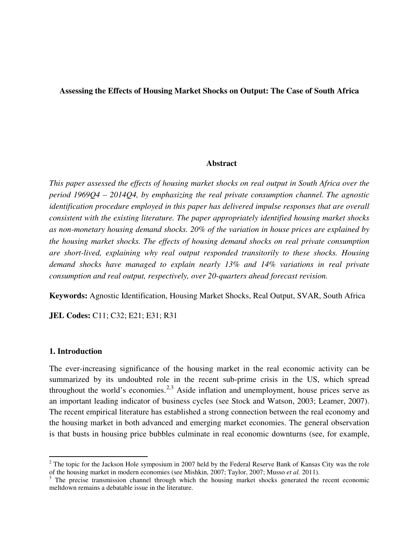#### **Assessing the Effects of Housing Market Shocks on Output: The Case of South Africa**

#### **Abstract**

*This paper assessed the effects of housing market shocks on real output in South Africa over the period 1969Q4 – 2014Q4, by emphasizing the real private consumption channel. The agnostic identification procedure employed in this paper has delivered impulse responses that are overall consistent with the existing literature. The paper appropriately identified housing market shocks as non-monetary housing demand shocks. 20% of the variation in house prices are explained by the housing market shocks. The effects of housing demand shocks on real private consumption are short-lived, explaining why real output responded transitorily to these shocks. Housing demand shocks have managed to explain nearly 13% and 14% variations in real private consumption and real output, respectively, over 20-quarters ahead forecast revision.* 

**Keywords:** Agnostic Identification, Housing Market Shocks, Real Output, SVAR, South Africa

**JEL Codes:** C11; C32; E21; E31; R31

#### **1. Introduction**

<span id="page-2-1"></span> $\overline{a}$ 

The ever-increasing significance of the housing market in the real economic activity can be summarized by its undoubted role in the recent sub-prime crisis in the US, which spread throughout the world's economies.<sup>[2](#page-1-1),[3](#page-2-0)</sup> Aside inflation and unemployment, house prices serve as an important leading indicator of business cycles (see Stock and Watson, 2003; Leamer, 2007). The recent empirical literature has established a strong connection between the real economy and the housing market in both advanced and emerging market economies. The general observation is that busts in housing price bubbles culminate in real economic downturns (see, for example,

 $2$  The topic for the Jackson Hole symposium in 2007 held by the Federal Reserve Bank of Kansas City was the role of the housing market in modern economies (see Mishkin, 2007; Taylor, 2007; Musso *et al.* 2011).

<span id="page-2-0"></span> $3$  The precise transmission channel through which the housing market shocks generated the recent economic meltdown remains a debatable issue in the literature.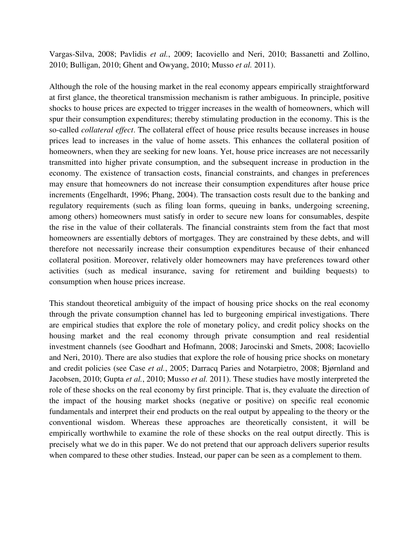Vargas-Silva, 2008; Pavlidis *et al.*, 2009; Iacoviello and Neri, 2010; Bassanetti and Zollino, 2010; Bulligan, 2010; Ghent and Owyang, 2010; Musso *et al.* 2011).

Although the role of the housing market in the real economy appears empirically straightforward at first glance, the theoretical transmission mechanism is rather ambiguous. In principle, positive shocks to house prices are expected to trigger increases in the wealth of homeowners, which will spur their consumption expenditures; thereby stimulating production in the economy. This is the so-called *collateral effect*. The collateral effect of house price results because increases in house prices lead to increases in the value of home assets. This enhances the collateral position of homeowners, when they are seeking for new loans. Yet, house price increases are not necessarily transmitted into higher private consumption, and the subsequent increase in production in the economy. The existence of transaction costs, financial constraints, and changes in preferences may ensure that homeowners do not increase their consumption expenditures after house price increments (Engelhardt, 1996; Phang, 2004). The transaction costs result due to the banking and regulatory requirements (such as filing loan forms, queuing in banks, undergoing screening, among others) homeowners must satisfy in order to secure new loans for consumables, despite the rise in the value of their collaterals. The financial constraints stem from the fact that most homeowners are essentially debtors of mortgages. They are constrained by these debts, and will therefore not necessarily increase their consumption expenditures because of their enhanced collateral position. Moreover, relatively older homeowners may have preferences toward other activities (such as medical insurance, saving for retirement and building bequests) to consumption when house prices increase.

This standout theoretical ambiguity of the impact of housing price shocks on the real economy through the private consumption channel has led to burgeoning empirical investigations. There are empirical studies that explore the role of monetary policy, and credit policy shocks on the housing market and the real economy through private consumption and real residential investment channels (see Goodhart and Hofmann, 2008; Jarocinski and Smets, 2008; Iacoviello and Neri, 2010). There are also studies that explore the role of housing price shocks on monetary and credit policies (see Case *et al.*, 2005; Darracq Paries and Notarpietro, 2008; Bjørnland and Jacobsen, 2010; Gupta *et al.*, 2010; Musso *et al.* 2011). These studies have mostly interpreted the role of these shocks on the real economy by first principle. That is, they evaluate the direction of the impact of the housing market shocks (negative or positive) on specific real economic fundamentals and interpret their end products on the real output by appealing to the theory or the conventional wisdom. Whereas these approaches are theoretically consistent, it will be empirically worthwhile to examine the role of these shocks on the real output directly. This is precisely what we do in this paper. We do not pretend that our approach delivers superior results when compared to these other studies. Instead, our paper can be seen as a complement to them.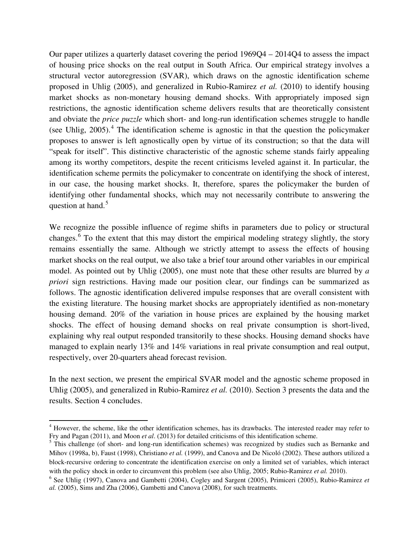Our paper utilizes a quarterly dataset covering the period 1969Q4 – 2014Q4 to assess the impact of housing price shocks on the real output in South Africa. Our empirical strategy involves a structural vector autoregression (SVAR), which draws on the agnostic identification scheme proposed in Uhlig (2005), and generalized in Rubio-Ramirez *et al.* (2010) to identify housing market shocks as non-monetary housing demand shocks. With appropriately imposed sign restrictions, the agnostic identification scheme delivers results that are theoretically consistent and obviate the *price puzzle* which short- and long-run identification schemes struggle to handle (see Uhlig,  $2005$ ).<sup>[4](#page-2-1)</sup> The identification scheme is agnostic in that the question the policymaker proposes to answer is left agnostically open by virtue of its construction; so that the data will "speak for itself". This distinctive characteristic of the agnostic scheme stands fairly appealing among its worthy competitors, despite the recent criticisms leveled against it. In particular, the identification scheme permits the policymaker to concentrate on identifying the shock of interest, in our case, the housing market shocks. It, therefore, spares the policymaker the burden of identifying other fundamental shocks, which may not necessarily contribute to answering the question at hand.<sup>[5](#page-4-0)</sup>

We recognize the possible influence of regime shifts in parameters due to policy or structural changes.<sup>[6](#page-4-1)</sup> To the extent that this may distort the empirical modeling strategy slightly, the story remains essentially the same. Although we strictly attempt to assess the effects of housing market shocks on the real output, we also take a brief tour around other variables in our empirical model. As pointed out by Uhlig (2005), one must note that these other results are blurred by *a priori* sign restrictions. Having made our position clear, our findings can be summarized as follows. The agnostic identification delivered impulse responses that are overall consistent with the existing literature. The housing market shocks are appropriately identified as non-monetary housing demand. 20% of the variation in house prices are explained by the housing market shocks. The effect of housing demand shocks on real private consumption is short-lived, explaining why real output responded transitorily to these shocks. Housing demand shocks have managed to explain nearly 13% and 14% variations in real private consumption and real output, respectively, over 20-quarters ahead forecast revision.

In the next section, we present the empirical SVAR model and the agnostic scheme proposed in Uhlig (2005), and generalized in Rubio-Ramirez *et al.* (2010). Section 3 presents the data and the results. Section 4 concludes.

<sup>4</sup> However, the scheme, like the other identification schemes, has its drawbacks. The interested reader may refer to Fry and Pagan (2011), and Moon *et al*. (2013) for detailed criticisms of this identification scheme.

<span id="page-4-0"></span><sup>&</sup>lt;sup>5</sup> This challenge (of short- and long-run identification schemes) was recognized by studies such as Bernanke and Mihov (1998a, b), Faust (1998), Christiano *et al.* (1999), and Canova and De Nicoló (2002). These authors utilized a block-recursive ordering to concentrate the identification exercise on only a limited set of variables, which interact with the policy shock in order to circumvent this problem (see also Uhlig, 2005; Rubio-Ramirez *et al.* 2010).

<span id="page-4-2"></span><span id="page-4-1"></span><sup>6</sup> See Uhlig (1997), Canova and Gambetti (2004), Cogley and Sargent (2005), Primiceri (2005), Rubio-Ramirez *et al.* (2005), Sims and Zha (2006), Gambetti and Canova (2008), for such treatments.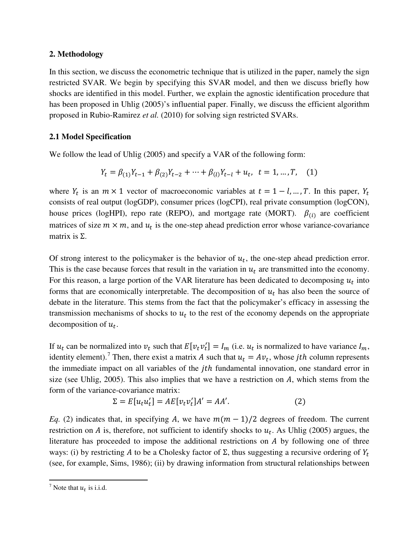## **2. Methodology**

In this section, we discuss the econometric technique that is utilized in the paper, namely the sign restricted SVAR. We begin by specifying this SVAR model, and then we discuss briefly how shocks are identified in this model. Further, we explain the agnostic identification procedure that has been proposed in Uhlig (2005)'s influential paper. Finally, we discuss the efficient algorithm proposed in Rubio-Ramirez *et al.* (2010) for solving sign restricted SVARs.

## **2.1 Model Specification**

We follow the lead of Uhlig (2005) and specify a VAR of the following form:

$$
Y_t = \beta_{(1)} Y_{t-1} + \beta_{(2)} Y_{t-2} + \dots + \beta_{(l)} Y_{t-l} + u_t, \ t = 1, \dots, T, \quad (1)
$$

where  $Y_t$  is an  $m \times 1$  vector of macroeconomic variables at  $t = 1 - l, ..., T$ . In this paper,  $Y_t$ consists of real output (logGDP), consumer prices (logCPI), real private consumption (logCON), house prices (logHPI), repo rate (REPO), and mortgage rate (MORT).  $\beta_{(i)}$  are coefficient matrices of size  $m \times m$ , and  $u_t$  is the one-step ahead prediction error whose variance-covariance matrix is  $Σ$ .

Of strong interest to the policymaker is the behavior of  $u_t$ , the one-step ahead prediction error. This is the case because forces that result in the variation in  $u_t$  are transmitted into the economy. For this reason, a large portion of the VAR literature has been dedicated to decomposing  $u_t$  into forms that are economically interpretable. The decomposition of  $u_t$  has also been the source of debate in the literature. This stems from the fact that the policymaker's efficacy in assessing the transmission mechanisms of shocks to  $u_t$  to the rest of the economy depends on the appropriate decomposition of  $u_t$ .

If  $u_t$  can be normalized into  $v_t$  such that  $E[v_t v_t'] = I_m$  (i.e.  $u_t$  is normalized to have variance  $I_m$ , identity element).<sup>[7](#page-4-2)</sup> Then, there exist a matrix A such that  $u_t = Av_t$ , whose *jth* column represents the immediate impact on all variables of the *jth* fundamental innovation, one standard error in size (see Uhlig, 2005). This also implies that we have a restriction on  $A$ , which stems from the form of the variance-covariance matrix:

$$
\Sigma = E[u_t u_t'] = AE[v_t v_t']A' = AA'.\tag{2}
$$

*Eq.* (2) indicates that, in specifying A, we have  $m(m - 1)/2$  degrees of freedom. The current restriction on A is, therefore, not sufficient to identify shocks to  $u_t$ . As Uhlig (2005) argues, the literature has proceeded to impose the additional restrictions on  $\vec{A}$  by following one of three ways: (i) by restricting A to be a Cholesky factor of  $\Sigma$ , thus suggesting a recursive ordering of  $Y_t$ (see, for example, Sims, 1986); (ii) by drawing information from structural relationships between

<span id="page-5-0"></span><sup>&</sup>lt;sup>7</sup> Note that  $u_t$  is i.i.d.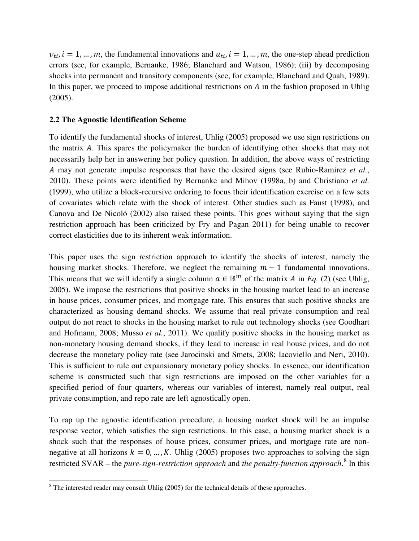$v_{ti}$ ,  $i = 1, ..., m$ , the fundamental innovations and  $u_{ti}$ ,  $i = 1, ..., m$ , the one-step ahead prediction errors (see, for example, Bernanke, 1986; Blanchard and Watson, 1986); (iii) by decomposing shocks into permanent and transitory components (see, for example, Blanchard and Quah, 1989). In this paper, we proceed to impose additional restrictions on  $\vec{A}$  in the fashion proposed in Uhlig (2005).

#### **2.2 The Agnostic Identification Scheme**

To identify the fundamental shocks of interest, Uhlig (2005) proposed we use sign restrictions on the matrix A. This spares the policymaker the burden of identifying other shocks that may not necessarily help her in answering her policy question. In addition, the above ways of restricting may not generate impulse responses that have the desired signs (see Rubio-Ramirez *et al.*, 2010). These points were identified by Bernanke and Mihov (1998a, b) and Christiano *et al.* (1999), who utilize a block-recursive ordering to focus their identification exercise on a few sets of covariates which relate with the shock of interest. Other studies such as Faust (1998), and Canova and De Nicoló (2002) also raised these points. This goes without saying that the sign restriction approach has been criticized by Fry and Pagan 2011) for being unable to recover correct elasticities due to its inherent weak information.

This paper uses the sign restriction approach to identify the shocks of interest, namely the housing market shocks. Therefore, we neglect the remaining  $m - 1$  fundamental innovations. This means that we will identify a single column  $a \in \mathbb{R}^m$  of the matrix A in *Eq.* (2) (see Uhlig, 2005). We impose the restrictions that positive shocks in the housing market lead to an increase in house prices, consumer prices, and mortgage rate. This ensures that such positive shocks are characterized as housing demand shocks. We assume that real private consumption and real output do not react to shocks in the housing market to rule out technology shocks (see Goodhart and Hofmann, 2008; Musso *et al.*, 2011). We qualify positive shocks in the housing market as non-monetary housing demand shocks, if they lead to increase in real house prices, and do not decrease the monetary policy rate (see Jarocinski and Smets, 2008; Iacoviello and Neri, 2010). This is sufficient to rule out expansionary monetary policy shocks. In essence, our identification scheme is constructed such that sign restrictions are imposed on the other variables for a specified period of four quarters, whereas our variables of interest, namely real output, real private consumption, and repo rate are left agnostically open.

<span id="page-6-0"></span>To rap up the agnostic identification procedure, a housing market shock will be an impulse response vector, which satisfies the sign restrictions. In this case, a housing market shock is a shock such that the responses of house prices, consumer prices, and mortgage rate are nonnegative at all horizons  $k = 0, ..., K$ . Uhlig (2005) proposes two approaches to solving the sign restricted SVAR – the *pure-sign-restriction approach* and *the penalty-function approach*. [8](#page-5-0) In this

l

<sup>&</sup>lt;sup>8</sup> The interested reader may consult Uhlig (2005) for the technical details of these approaches.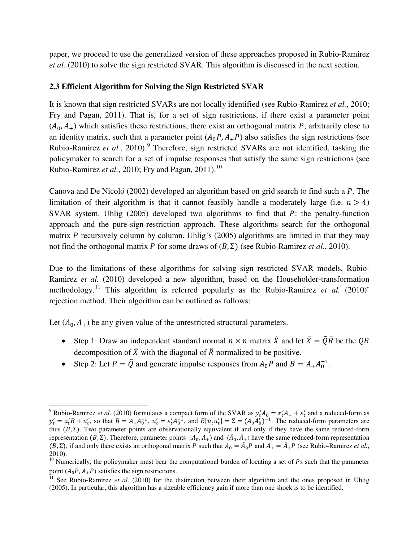paper, we proceed to use the generalized version of these approaches proposed in Rubio-Ramirez *et al.* (2010) to solve the sign restricted SVAR. This algorithm is discussed in the next section.

## **2.3 Efficient Algorithm for Solving the Sign Restricted SVAR**

It is known that sign restricted SVARs are not locally identified (see Rubio-Ramirez *et al.*, 2010; Fry and Pagan, 2011). That is, for a set of sign restrictions, if there exist a parameter point  $(A_0, A_+)$  which satisfies these restrictions, there exist an orthogonal matrix P, arbitrarily close to an identity matrix, such that a parameter point  $(A_0 P, A_+ P)$  also satisfies the sign restrictions (see Rubio-Ramirez *et al.*, 2010). [9](#page-6-0) Therefore, sign restricted SVARs are not identified, tasking the policymaker to search for a set of impulse responses that satisfy the same sign restrictions (see Rubio-Ramirez *et al.*, 20[10](#page-7-0); Fry and Pagan, 2011).<sup>10</sup>

Canova and De Nicoló (2002) developed an algorithm based on grid search to find such a  $P$ . The limitation of their algorithm is that it cannot feasibly handle a moderately large (i.e.  $n > 4$ ) SVAR system. Uhlig  $(2005)$  developed two algorithms to find that P: the penalty-function approach and the pure-sign-restriction approach. These algorithms search for the orthogonal matrix P recursively column by column. Uhlig's  $(2005)$  algorithms are limited in that they may not find the orthogonal matrix P for some draws of  $(B, \Sigma)$  (see Rubio-Ramirez *et al.*, 2010).

Due to the limitations of these algorithms for solving sign restricted SVAR models, Rubio-Ramirez *et al.* (2010) developed a new algorithm, based on the Householder-transformation methodology.<sup>[11](#page-7-1)</sup> This algorithm is referred popularly as the Rubio-Ramirez *et al.* (2010)' rejection method. Their algorithm can be outlined as follows:

Let  $(A_0, A_+)$  be any given value of the unrestricted structural parameters.

l

- Step 1: Draw an independent standard normal  $n \times n$  matrix  $\tilde{X}$  and let  $\tilde{X} = \tilde{Q}\tilde{R}$  be the QR decomposition of  $\tilde{X}$  with the diagonal of  $\tilde{R}$  normalized to be positive.
- Step 2: Let  $P = \tilde{Q}$  and generate impulse responses from  $A_0 P$  and  $B = A_+ A_0^{-1}$ .

<sup>&</sup>lt;sup>9</sup> Rubio-Ramirez *et al.* (2010) formulates a compact form of the SVAR as  $y_t'A_0 = x_t'A_+ + \varepsilon_t'$  and a reduced-form as  $y'_t = x'_t B + u'_t$ , so that  $B = A_+ A_0^{-1}$ ,  $u'_t = \varepsilon'_t A_0^{-1}$ , and  $E[u_t u'_t] = \Sigma = (A_0 A'_0)^{-1}$ . The reduced-form parameters are thus  $(B, Σ)$ . Two parameter points are observationally equivalent if and only if they have the same reduced-form representation (*B*, Σ). Therefore, parameter points  $(A_0, A_+)$  and  $(\tilde{A}_0, \tilde{A}_+)$  have the same reduced-form representation  $(B, \Sigma)$ , if and only there exists an orthogonal matrix P such that  $A_0 = \tilde{A}_0 P$  and  $A_+ = \tilde{A}_+ P$  (see Rubio-Ramirez *et al.*, 2010).

<span id="page-7-0"></span><sup>&</sup>lt;sup>10</sup> Numerically, the policymaker must bear the computational burden of locating a set of  $P_s$  such that the parameter point  $(A_0 P, A_+ P)$  satisfies the sign restrictions.

<span id="page-7-2"></span><span id="page-7-1"></span><sup>&</sup>lt;sup>11</sup> See Rubio-Ramirez *et al.* (2010) for the distinction between their algorithm and the ones proposed in Uhlig (2005). In particular, this algorithm has a sizeable efficiency gain if more than one shock is to be identified.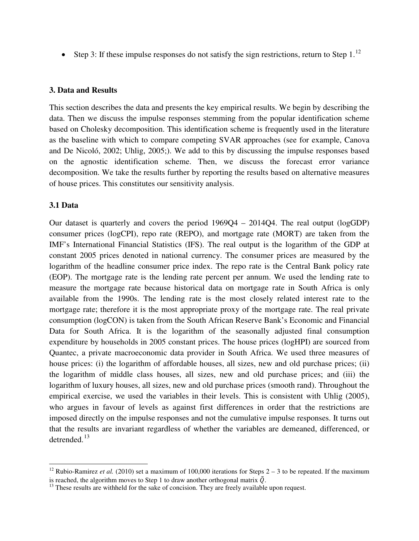• Step 3: If these impulse responses do not satisfy the sign restrictions, return to Step  $1<sup>12</sup>$  $1<sup>12</sup>$  $1<sup>12</sup>$ 

#### **3. Data and Results**

This section describes the data and presents the key empirical results. We begin by describing the data. Then we discuss the impulse responses stemming from the popular identification scheme based on Cholesky decomposition. This identification scheme is frequently used in the literature as the baseline with which to compare competing SVAR approaches (see for example, Canova and De Nicoló, 2002; Uhlig, 2005;). We add to this by discussing the impulse responses based on the agnostic identification scheme. Then, we discuss the forecast error variance decomposition. We take the results further by reporting the results based on alternative measures of house prices. This constitutes our sensitivity analysis.

#### **3.1 Data**

 $\overline{a}$ 

Our dataset is quarterly and covers the period 1969Q4 – 2014Q4. The real output (logGDP) consumer prices (logCPI), repo rate (REPO), and mortgage rate (MORT) are taken from the IMF's International Financial Statistics (IFS). The real output is the logarithm of the GDP at constant 2005 prices denoted in national currency. The consumer prices are measured by the logarithm of the headline consumer price index. The repo rate is the Central Bank policy rate (EOP). The mortgage rate is the lending rate percent per annum. We used the lending rate to measure the mortgage rate because historical data on mortgage rate in South Africa is only available from the 1990s. The lending rate is the most closely related interest rate to the mortgage rate; therefore it is the most appropriate proxy of the mortgage rate. The real private consumption (logCON) is taken from the South African Reserve Bank's Economic and Financial Data for South Africa. It is the logarithm of the seasonally adjusted final consumption expenditure by households in 2005 constant prices. The house prices (logHPI) are sourced from Quantec, a private macroeconomic data provider in South Africa. We used three measures of house prices: (i) the logarithm of affordable houses, all sizes, new and old purchase prices; (ii) the logarithm of middle class houses, all sizes, new and old purchase prices; and (iii) the logarithm of luxury houses, all sizes, new and old purchase prices (smooth rand). Throughout the empirical exercise, we used the variables in their levels. This is consistent with Uhlig (2005), who argues in favour of levels as against first differences in order that the restrictions are imposed directly on the impulse responses and not the cumulative impulse responses. It turns out that the results are invariant regardless of whether the variables are demeaned, differenced, or detrended.<sup>[13](#page-8-0)</sup>

<span id="page-8-1"></span><sup>&</sup>lt;sup>12</sup> Rubio-Ramirez *et al.* (2010) set a maximum of 100,000 iterations for Steps 2 – 3 to be repeated. If the maximum is reached, the algorithm moves to Step 1 to draw another orthogonal matrix  $\tilde{Q}$ .

<span id="page-8-0"></span> $<sup>13</sup>$  These results are withheld for the sake of concision. They are freely available upon request.</sup>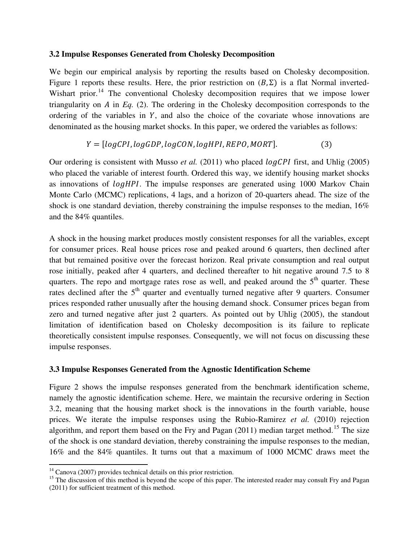### **3.2 Impulse Responses Generated from Cholesky Decomposition**

We begin our empirical analysis by reporting the results based on Cholesky decomposition. Figure 1 reports these results. Here, the prior restriction on  $(B, \Sigma)$  is a flat Normal inverted-Wishart prior.<sup>[14](#page-8-1)</sup> The conventional Cholesky decomposition requires that we impose lower triangularity on  $A$  in  $Eq. (2)$ . The ordering in the Cholesky decomposition corresponds to the ordering of the variables in  $Y$ , and also the choice of the covariate whose innovations are denominated as the housing market shocks. In this paper, we ordered the variables as follows:

# $Y = [logCPI, logGDP, logCON, logHPI, REPO, MORT].$  (3)

Our ordering is consistent with Musso *et al.* (2011) who placed *logCPI* first, and Uhlig (2005) who placed the variable of interest fourth. Ordered this way, we identify housing market shocks as innovations of *logHPI*. The impulse responses are generated using 1000 Markov Chain Monte Carlo (MCMC) replications, 4 lags, and a horizon of 20-quarters ahead. The size of the shock is one standard deviation, thereby constraining the impulse responses to the median, 16% and the 84% quantiles.

A shock in the housing market produces mostly consistent responses for all the variables, except for consumer prices. Real house prices rose and peaked around 6 quarters, then declined after that but remained positive over the forecast horizon. Real private consumption and real output rose initially, peaked after 4 quarters, and declined thereafter to hit negative around 7.5 to 8 quarters. The repo and mortgage rates rose as well, and peaked around the  $5<sup>th</sup>$  quarter. These rates declined after the  $5<sup>th</sup>$  quarter and eventually turned negative after 9 quarters. Consumer prices responded rather unusually after the housing demand shock. Consumer prices began from zero and turned negative after just 2 quarters. As pointed out by Uhlig (2005), the standout limitation of identification based on Cholesky decomposition is its failure to replicate theoretically consistent impulse responses. Consequently, we will not focus on discussing these impulse responses.

## **3.3 Impulse Responses Generated from the Agnostic Identification Scheme**

Figure 2 shows the impulse responses generated from the benchmark identification scheme, namely the agnostic identification scheme. Here, we maintain the recursive ordering in Section 3.2, meaning that the housing market shock is the innovations in the fourth variable, house prices. We iterate the impulse responses using the Rubio-Ramirez *et al.* (2010) rejection algorithm, and report them based on the Fry and Pagan  $(2011)$  median target method.<sup>[15](#page-9-0)</sup> The size of the shock is one standard deviation, thereby constraining the impulse responses to the median, 16% and the 84% quantiles. It turns out that a maximum of 1000 MCMC draws meet the

<span id="page-9-1"></span> $14$  Canova (2007) provides technical details on this prior restriction.

<span id="page-9-0"></span><sup>&</sup>lt;sup>15</sup> The discussion of this method is beyond the scope of this paper. The interested reader may consult Fry and Pagan (2011) for sufficient treatment of this method.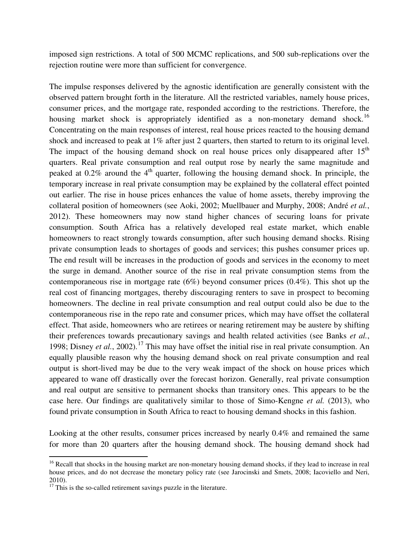imposed sign restrictions. A total of 500 MCMC replications, and 500 sub-replications over the rejection routine were more than sufficient for convergence.

The impulse responses delivered by the agnostic identification are generally consistent with the observed pattern brought forth in the literature. All the restricted variables, namely house prices, consumer prices, and the mortgage rate, responded according to the restrictions. Therefore, the housing market shock is appropriately identified as a non-monetary demand shock.<sup>[16](#page-9-1)</sup> Concentrating on the main responses of interest, real house prices reacted to the housing demand shock and increased to peak at 1% after just 2 quarters, then started to return to its original level. The impact of the housing demand shock on real house prices only disappeared after  $15<sup>th</sup>$ quarters. Real private consumption and real output rose by nearly the same magnitude and peaked at  $0.2\%$  around the 4<sup>th</sup> quarter, following the housing demand shock. In principle, the temporary increase in real private consumption may be explained by the collateral effect pointed out earlier. The rise in house prices enhances the value of home assets, thereby improving the collateral position of homeowners (see Aoki, 2002; Muellbauer and Murphy, 2008; André *et al.*, 2012). These homeowners may now stand higher chances of securing loans for private consumption. South Africa has a relatively developed real estate market, which enable homeowners to react strongly towards consumption, after such housing demand shocks. Rising private consumption leads to shortages of goods and services; this pushes consumer prices up. The end result will be increases in the production of goods and services in the economy to meet the surge in demand. Another source of the rise in real private consumption stems from the contemporaneous rise in mortgage rate (6%) beyond consumer prices (0.4%). This shot up the real cost of financing mortgages, thereby discouraging renters to save in prospect to becoming homeowners. The decline in real private consumption and real output could also be due to the contemporaneous rise in the repo rate and consumer prices, which may have offset the collateral effect. That aside, homeowners who are retirees or nearing retirement may be austere by shifting their preferences towards precautionary savings and health related activities (see Banks *et al.*, 1998; Disney *et al.*, 2002).<sup>[17](#page-10-0)</sup> This may have offset the initial rise in real private consumption. An equally plausible reason why the housing demand shock on real private consumption and real output is short-lived may be due to the very weak impact of the shock on house prices which appeared to wane off drastically over the forecast horizon. Generally, real private consumption and real output are sensitive to permanent shocks than transitory ones. This appears to be the case here. Our findings are qualitatively similar to those of Simo-Kengne *et al.* (2013), who found private consumption in South Africa to react to housing demand shocks in this fashion.

Looking at the other results, consumer prices increased by nearly 0.4% and remained the same for more than 20 quarters after the housing demand shock. The housing demand shock had

<sup>&</sup>lt;sup>16</sup> Recall that shocks in the housing market are non-monetary housing demand shocks, if they lead to increase in real house prices, and do not decrease the monetary policy rate (see Jarocinski and Smets, 2008; Iacoviello and Neri, 2010).

<span id="page-10-0"></span> $\frac{17}{17}$  This is the so-called retirement savings puzzle in the literature.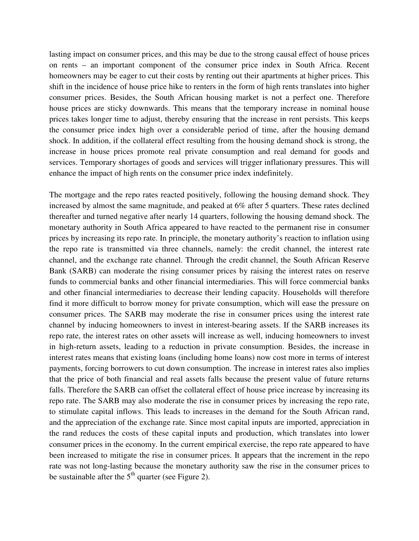lasting impact on consumer prices, and this may be due to the strong causal effect of house prices on rents – an important component of the consumer price index in South Africa. Recent homeowners may be eager to cut their costs by renting out their apartments at higher prices. This shift in the incidence of house price hike to renters in the form of high rents translates into higher consumer prices. Besides, the South African housing market is not a perfect one. Therefore house prices are sticky downwards. This means that the temporary increase in nominal house prices takes longer time to adjust, thereby ensuring that the increase in rent persists. This keeps the consumer price index high over a considerable period of time, after the housing demand shock. In addition, if the collateral effect resulting from the housing demand shock is strong, the increase in house prices promote real private consumption and real demand for goods and services. Temporary shortages of goods and services will trigger inflationary pressures. This will enhance the impact of high rents on the consumer price index indefinitely.

The mortgage and the repo rates reacted positively, following the housing demand shock. They increased by almost the same magnitude, and peaked at 6% after 5 quarters. These rates declined thereafter and turned negative after nearly 14 quarters, following the housing demand shock. The monetary authority in South Africa appeared to have reacted to the permanent rise in consumer prices by increasing its repo rate. In principle, the monetary authority's reaction to inflation using the repo rate is transmitted via three channels, namely: the credit channel, the interest rate channel, and the exchange rate channel. Through the credit channel, the South African Reserve Bank (SARB) can moderate the rising consumer prices by raising the interest rates on reserve funds to commercial banks and other financial intermediaries. This will force commercial banks and other financial intermediaries to decrease their lending capacity. Households will therefore find it more difficult to borrow money for private consumption, which will ease the pressure on consumer prices. The SARB may moderate the rise in consumer prices using the interest rate channel by inducing homeowners to invest in interest-bearing assets. If the SARB increases its repo rate, the interest rates on other assets will increase as well, inducing homeowners to invest in high-return assets, leading to a reduction in private consumption. Besides, the increase in interest rates means that existing loans (including home loans) now cost more in terms of interest payments, forcing borrowers to cut down consumption. The increase in interest rates also implies that the price of both financial and real assets falls because the present value of future returns falls. Therefore the SARB can offset the collateral effect of house price increase by increasing its repo rate. The SARB may also moderate the rise in consumer prices by increasing the repo rate, to stimulate capital inflows. This leads to increases in the demand for the South African rand, and the appreciation of the exchange rate. Since most capital inputs are imported, appreciation in the rand reduces the costs of these capital inputs and production, which translates into lower consumer prices in the economy. In the current empirical exercise, the repo rate appeared to have been increased to mitigate the rise in consumer prices. It appears that the increment in the repo rate was not long-lasting because the monetary authority saw the rise in the consumer prices to be sustainable after the  $5<sup>th</sup>$  quarter (see Figure 2).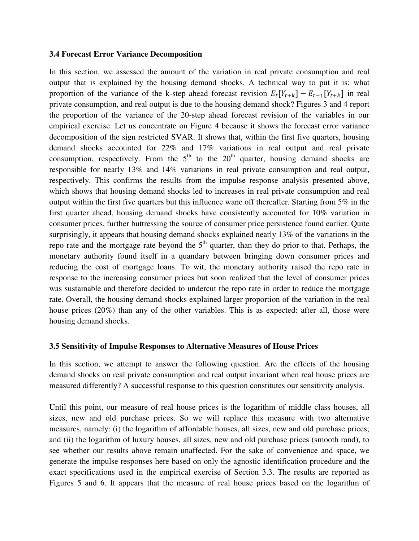#### **3.4 Forecast Error Variance Decomposition**

In this section, we assessed the amount of the variation in real private consumption and real output that is explained by the housing demand shocks. A technical way to put it is: what proportion of the variance of the k-step ahead forecast revision  $E_t[Y_{t+k}] - E_{t-1}[Y_{t+k}]$  in real private consumption, and real output is due to the housing demand shock? Figures 3 and 4 report the proportion of the variance of the 20-step ahead forecast revision of the variables in our empirical exercise. Let us concentrate on Figure 4 because it shows the forecast error variance decomposition of the sign restricted SVAR. It shows that, within the first five quarters, housing demand shocks accounted for 22% and 17% variations in real output and real private consumption, respectively. From the  $5<sup>th</sup>$  to the  $20<sup>th</sup>$  quarter, housing demand shocks are responsible for nearly 13% and 14% variations in real private consumption and real output, respectively. This confirms the results from the impulse response analysis presented above, which shows that housing demand shocks led to increases in real private consumption and real output within the first five quarters but this influence wane off thereafter. Starting from 5% in the first quarter ahead, housing demand shocks have consistently accounted for 10% variation in consumer prices, further buttressing the source of consumer price persistence found earlier. Quite surprisingly, it appears that housing demand shocks explained nearly 13% of the variations in the repo rate and the mortgage rate beyond the  $5<sup>th</sup>$  quarter, than they do prior to that. Perhaps, the monetary authority found itself in a quandary between bringing down consumer prices and reducing the cost of mortgage loans. To wit, the monetary authority raised the repo rate in response to the increasing consumer prices but soon realized that the level of consumer prices was sustainable and therefore decided to undercut the repo rate in order to reduce the mortgage rate. Overall, the housing demand shocks explained larger proportion of the variation in the real house prices (20%) than any of the other variables. This is as expected: after all, those were housing demand shocks.

#### **3.5 Sensitivity of Impulse Responses to Alternative Measures of House Prices**

In this section, we attempt to answer the following question. Are the effects of the housing demand shocks on real private consumption and real output invariant when real house prices are measured differently? A successful response to this question constitutes our sensitivity analysis.

Until this point, our measure of real house prices is the logarithm of middle class houses, all sizes, new and old purchase prices. So we will replace this measure with two alternative measures, namely: (i) the logarithm of affordable houses, all sizes, new and old purchase prices; and (ii) the logarithm of luxury houses, all sizes, new and old purchase prices (smooth rand), to see whether our results above remain unaffected. For the sake of convenience and space, we generate the impulse responses here based on only the agnostic identification procedure and the exact specifications used in the empirical exercise of Section 3.3. The results are reported as Figures 5 and 6. It appears that the measure of real house prices based on the logarithm of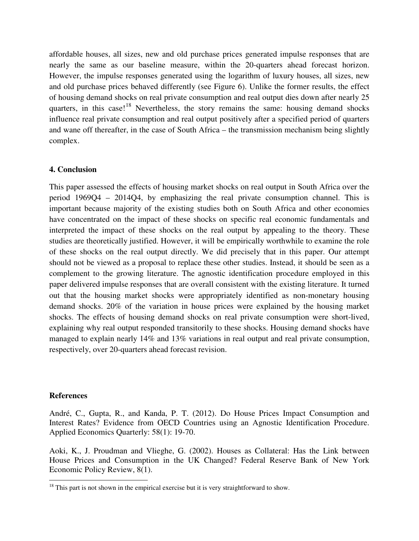affordable houses, all sizes, new and old purchase prices generated impulse responses that are nearly the same as our baseline measure, within the 20-quarters ahead forecast horizon. However, the impulse responses generated using the logarithm of luxury houses, all sizes, new and old purchase prices behaved differently (see Figure 6). Unlike the former results, the effect of housing demand shocks on real private consumption and real output dies down after nearly 25 quarters, in this case!<sup>[18](#page-10-0)</sup> Nevertheless, the story remains the same: housing demand shocks influence real private consumption and real output positively after a specified period of quarters and wane off thereafter, in the case of South Africa – the transmission mechanism being slightly complex.

#### **4. Conclusion**

This paper assessed the effects of housing market shocks on real output in South Africa over the period 1969Q4 – 2014Q4, by emphasizing the real private consumption channel. This is important because majority of the existing studies both on South Africa and other economies have concentrated on the impact of these shocks on specific real economic fundamentals and interpreted the impact of these shocks on the real output by appealing to the theory. These studies are theoretically justified. However, it will be empirically worthwhile to examine the role of these shocks on the real output directly. We did precisely that in this paper. Our attempt should not be viewed as a proposal to replace these other studies. Instead, it should be seen as a complement to the growing literature. The agnostic identification procedure employed in this paper delivered impulse responses that are overall consistent with the existing literature. It turned out that the housing market shocks were appropriately identified as non-monetary housing demand shocks. 20% of the variation in house prices were explained by the housing market shocks. The effects of housing demand shocks on real private consumption were short-lived, explaining why real output responded transitorily to these shocks. Housing demand shocks have managed to explain nearly 14% and 13% variations in real output and real private consumption, respectively, over 20-quarters ahead forecast revision.

#### **References**

André, C., Gupta, R., and Kanda, P. T. (2012). Do House Prices Impact Consumption and Interest Rates? Evidence from OECD Countries using an Agnostic Identification Procedure. Applied Economics Quarterly: 58(1): 19-70.

Aoki, K., J. Proudman and Vlieghe, G. (2002). Houses as Collateral: Has the Link between House Prices and Consumption in the UK Changed? Federal Reserve Bank of New York Economic Policy Review, 8(1). l

 $18$  This part is not shown in the empirical exercise but it is very straightforward to show.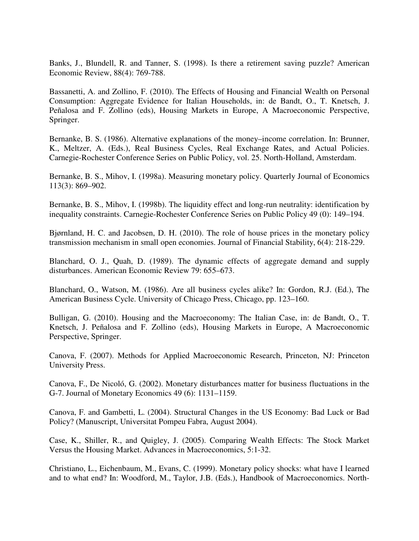Banks, J., Blundell, R. and Tanner, S. (1998). Is there a retirement saving puzzle? American Economic Review, 88(4): 769-788.

Bassanetti, A. and Zollino, F. (2010). The Effects of Housing and Financial Wealth on Personal Consumption: Aggregate Evidence for Italian Households, in: de Bandt, O., T. Knetsch, J. Peñalosa and F. Zollino (eds), Housing Markets in Europe, A Macroeconomic Perspective, Springer.

Bernanke, B. S. (1986). Alternative explanations of the money–income correlation. In: Brunner, K., Meltzer, A. (Eds.), Real Business Cycles, Real Exchange Rates, and Actual Policies. Carnegie-Rochester Conference Series on Public Policy, vol. 25. North-Holland, Amsterdam.

Bernanke, B. S., Mihov, I. (1998a). Measuring monetary policy. Quarterly Journal of Economics 113(3): 869–902.

Bernanke, B. S., Mihov, I. (1998b). The liquidity effect and long-run neutrality: identification by inequality constraints. Carnegie-Rochester Conference Series on Public Policy 49 (0): 149–194.

Bjørnland, H. C. and Jacobsen, D. H. (2010). The role of house prices in the monetary policy transmission mechanism in small open economies. Journal of Financial Stability, 6(4): 218-229.

Blanchard, O. J., Quah, D. (1989). The dynamic effects of aggregate demand and supply disturbances. American Economic Review 79: 655–673.

Blanchard, O., Watson, M. (1986). Are all business cycles alike? In: Gordon, R.J. (Ed.), The American Business Cycle. University of Chicago Press, Chicago, pp. 123–160.

Bulligan, G. (2010). Housing and the Macroeconomy: The Italian Case, in: de Bandt, O., T. Knetsch, J. Peñalosa and F. Zollino (eds), Housing Markets in Europe, A Macroeconomic Perspective, Springer.

Canova, F. (2007). Methods for Applied Macroeconomic Research, Princeton, NJ: Princeton University Press.

Canova, F., De Nicoló, G. (2002). Monetary disturbances matter for business fluctuations in the G-7. Journal of Monetary Economics 49 (6): 1131–1159.

Canova, F. and Gambetti, L. (2004). Structural Changes in the US Economy: Bad Luck or Bad Policy? (Manuscript, Universitat Pompeu Fabra, August 2004).

Case, K., Shiller, R., and Quigley, J. (2005). Comparing Wealth Effects: The Stock Market Versus the Housing Market. Advances in Macroeconomics, 5:1-32.

Christiano, L., Eichenbaum, M., Evans, C. (1999). Monetary policy shocks: what have I learned and to what end? In: Woodford, M., Taylor, J.B. (Eds.), Handbook of Macroeconomics. North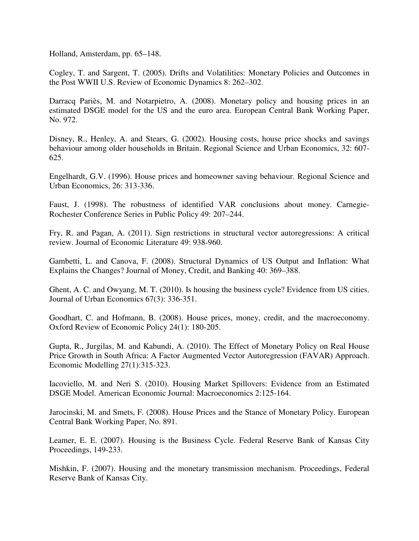Holland, Amsterdam, pp. 65–148.

Cogley, T. and Sargent, T. (2005). Drifts and Volatilities: Monetary Policies and Outcomes in the Post WWII U.S. Review of Economic Dynamics 8: 262–302.

Darracq Pariès, M. and Notarpietro, A. (2008). Monetary policy and housing prices in an estimated DSGE model for the US and the euro area. European Central Bank Working Paper, No. 972.

Disney, R., Henley, A. and Stears, G. (2002). Housing costs, house price shocks and savings behaviour among older households in Britain. Regional Science and Urban Economics, 32: 607- 625.

Engelhardt, G.V. (1996). House prices and homeowner saving behaviour. Regional Science and Urban Economics, 26: 313-336.

Faust, J. (1998). The robustness of identified VAR conclusions about money. Carnegie-Rochester Conference Series in Public Policy 49: 207–244.

Fry, R. and Pagan, A. (2011). Sign restrictions in structural vector autoregressions: A critical review. Journal of Economic Literature 49: 938-960.

Gambetti, L. and Canova, F. (2008). Structural Dynamics of US Output and Inflation: What Explains the Changes? Journal of Money, Credit, and Banking 40: 369–388.

Ghent, A. C. and Owyang, M. T. (2010). Is housing the business cycle? Evidence from US cities. Journal of Urban Economics 67(3): 336-351.

Goodhart, C. and Hofmann, B. (2008). House prices, money, credit, and the macroeconomy. Oxford Review of Economic Policy 24(1): 180-205.

Gupta, R., Jurgilas, M. and Kabundi, A. (2010). The Effect of Monetary Policy on Real House Price Growth in South Africa: A Factor Augmented Vector Autoregression (FAVAR) Approach. Economic Modelling 27(1):315-323.

Iacoviello, M. and Neri S. (2010). Housing Market Spillovers: Evidence from an Estimated DSGE Model. American Economic Journal: Macroeconomics 2:125-164.

Jarocinski, M. and Smets, F. (2008). House Prices and the Stance of Monetary Policy. European Central Bank Working Paper, No. 891.

Leamer, E. E. (2007). Housing is the Business Cycle. Federal Reserve Bank of Kansas City Proceedings, 149-233.

Mishkin, F. (2007). Housing and the monetary transmission mechanism. Proceedings, Federal Reserve Bank of Kansas City.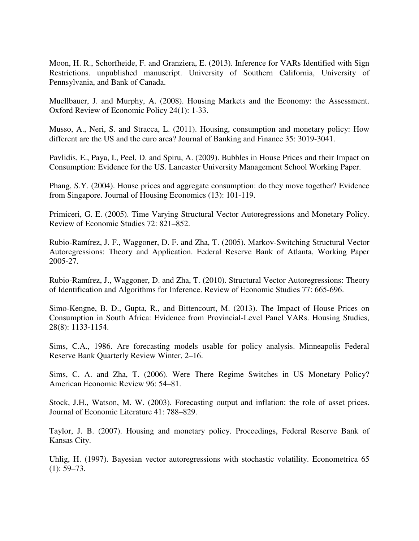Moon, H. R., Schorfheide, F. and Granziera, E. (2013). Inference for VARs Identified with Sign Restrictions. unpublished manuscript. University of Southern California, University of Pennsylvania, and Bank of Canada.

Muellbauer, J. and Murphy, A. (2008). Housing Markets and the Economy: the Assessment. Oxford Review of Economic Policy 24(1): 1-33.

Musso, A., Neri, S. and Stracca, L. (2011). Housing, consumption and monetary policy: How different are the US and the euro area? Journal of Banking and Finance 35: 3019-3041.

Pavlidis, E., Paya, I., Peel, D. and Spiru, A. (2009). Bubbles in House Prices and their Impact on Consumption: Evidence for the US. Lancaster University Management School Working Paper.

Phang, S.Y. (2004). House prices and aggregate consumption: do they move together? Evidence from Singapore. Journal of Housing Economics (13): 101-119.

Primiceri, G. E. (2005). Time Varying Structural Vector Autoregressions and Monetary Policy. Review of Economic Studies 72: 821–852.

Rubio-Ramírez, J. F., Waggoner, D. F. and Zha, T. (2005). Markov-Switching Structural Vector Autoregressions: Theory and Application. Federal Reserve Bank of Atlanta, Working Paper 2005-27.

Rubio-Ramírez, J., Waggoner, D. and Zha, T. (2010). Structural Vector Autoregressions: Theory of Identification and Algorithms for Inference. Review of Economic Studies 77: 665-696.

Simo-Kengne, B. D., Gupta, R., and Bittencourt, M. (2013). The Impact of House Prices on Consumption in South Africa: Evidence from Provincial-Level Panel VARs. Housing Studies, 28(8): 1133-1154.

Sims, C.A., 1986. Are forecasting models usable for policy analysis. Minneapolis Federal Reserve Bank Quarterly Review Winter, 2–16.

Sims, C. A. and Zha, T. (2006). Were There Regime Switches in US Monetary Policy? American Economic Review 96: 54–81.

Stock, J.H., Watson, M. W. (2003). Forecasting output and inflation: the role of asset prices. Journal of Economic Literature 41: 788–829.

Taylor, J. B. (2007). Housing and monetary policy. Proceedings, Federal Reserve Bank of Kansas City.

Uhlig, H. (1997). Bayesian vector autoregressions with stochastic volatility. Econometrica 65  $(1): 59-73.$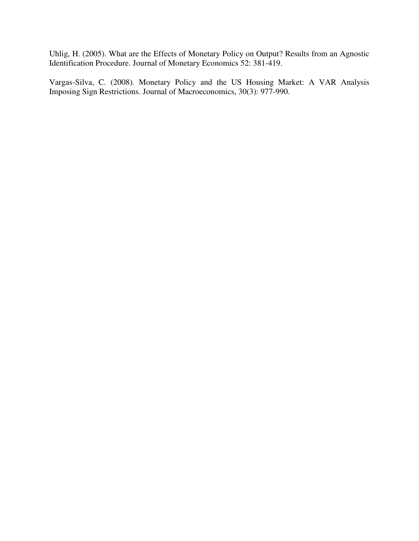Uhlig, H. (2005). What are the Effects of Monetary Policy on Output? Results from an Agnostic Identification Procedure. Journal of Monetary Economics 52: 381-419.

Vargas-Silva, C. (2008). Monetary Policy and the US Housing Market: A VAR Analysis Imposing Sign Restrictions. Journal of Macroeconomics, 30(3): 977-990.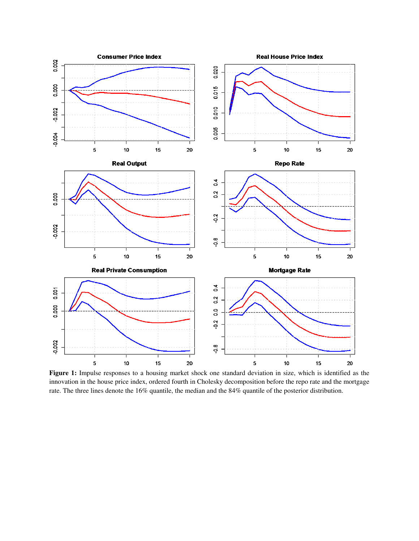

**Figure 1:** Impulse responses to a housing market shock one standard deviation in size, which is identified as the innovation in the house price index, ordered fourth in Cholesky decomposition before the repo rate and the mortgage rate. The three lines denote the 16% quantile, the median and the 84% quantile of the posterior distribution.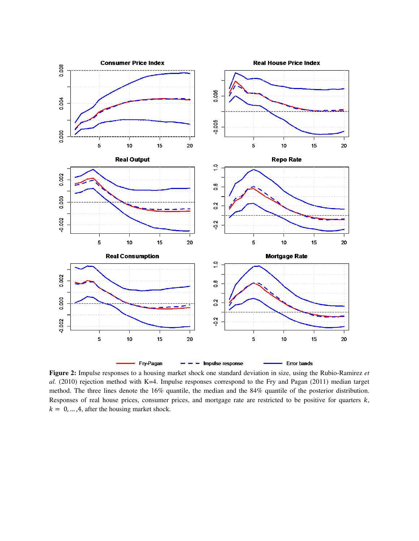

**Figure 2:** Impulse responses to a housing market shock one standard deviation in size, using the Rubio-Ramirez *et al.* (2010) rejection method with K=4. Impulse responses correspond to the Fry and Pagan (2011) median target method. The three lines denote the 16% quantile, the median and the 84% quantile of the posterior distribution. Responses of real house prices, consumer prices, and mortgage rate are restricted to be positive for quarters  $k$ ,  $k = 0, \ldots, 4$ , after the housing market shock.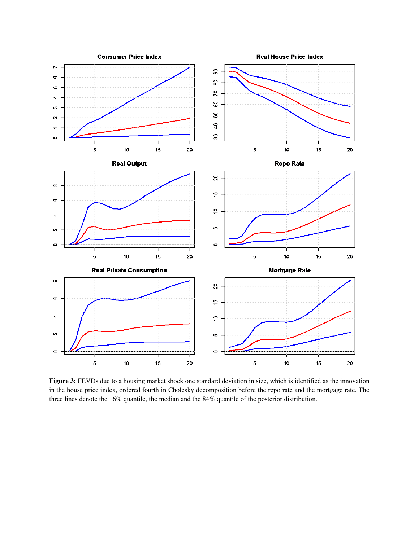

**Figure 3:** FEVDs due to a housing market shock one standard deviation in size, which is identified as the innovation in the house price index, ordered fourth in Cholesky decomposition before the repo rate and the mortgage rate. The three lines denote the 16% quantile, the median and the 84% quantile of the posterior distribution.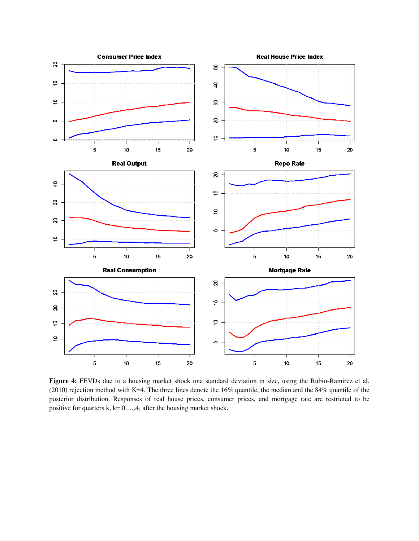

**Figure 4:** FEVDs due to a housing market shock one standard deviation in size, using the Rubio-Ramirez et al. (2010) rejection method with K=4. The three lines denote the 16% quantile, the median and the 84% quantile of the posterior distribution. Responses of real house prices, consumer prices, and mortgage rate are restricted to be positive for quarters k,  $k = 0, \ldots, 4$ , after the housing market shock.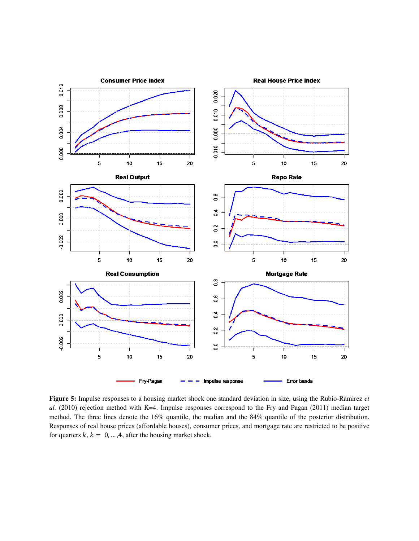

**Figure 5:** Impulse responses to a housing market shock one standard deviation in size, using the Rubio-Ramirez *et al.* (2010) rejection method with K=4. Impulse responses correspond to the Fry and Pagan (2011) median target method. The three lines denote the 16% quantile, the median and the 84% quantile of the posterior distribution. Responses of real house prices (affordable houses), consumer prices, and mortgage rate are restricted to be positive for quarters  $k, k = 0, ..., 4$ , after the housing market shock.